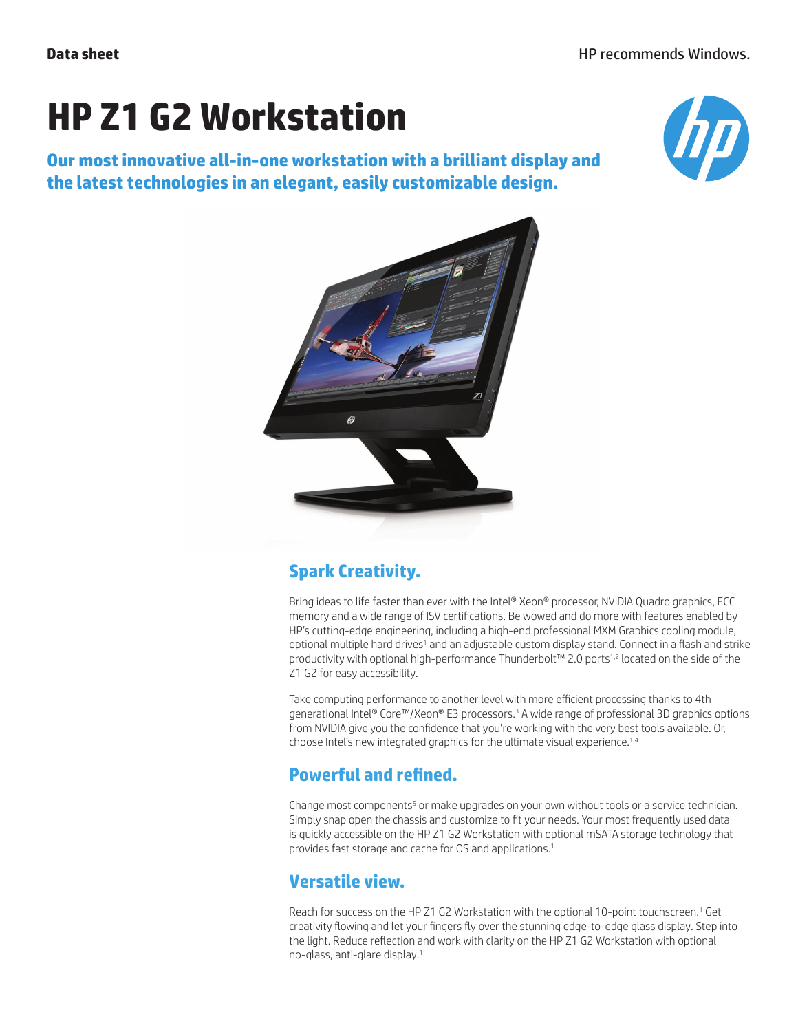# **HP Z1 G2 Workstation**

**Our most innovative all-in-one workstation with a brilliant display and the latest technologies in an elegant, easily customizable design.**





## **Spark Creativity.**

Bring ideas to life faster than ever with the Intel® Xeon® processor, NVIDIA Quadro graphics, ECC memory and a wide range of ISV certifications. Be wowed and do more with features enabled by HP's cutting-edge engineering, including a high-end professional MXM Graphics cooling module, optional multiple hard drives<sup>1</sup> and an adjustable custom display stand. Connect in a flash and strike productivity with optional high-performance Thunderbolt™ 2.0 ports<sup>1,2</sup> located on the side of the Z1 G2 for easy accessibility.

Take computing performance to another level with more efficient processing thanks to 4th generational Intel® Core™/Xeon® E3 processors.<sup>3</sup> A wide range of professional 3D graphics options from NVIDIA give you the confidence that you're working with the very best tools available. Or, choose Intel's new integrated graphics for the ultimate visual experience.1,4

## **Powerful and refined.**

Change most components<sup>5</sup> or make upgrades on your own without tools or a service technician. Simply snap open the chassis and customize to fit your needs. Your most frequently used data is quickly accessible on the HP Z1 G2 Workstation with optional mSATA storage technology that provides fast storage and cache for OS and applications.<sup>1</sup>

#### **Versatile view.**

Reach for success on the HP Z1 G2 Workstation with the optional 10-point touchscreen.<sup>1</sup> Get creativity flowing and let your fingers fly over the stunning edge-to-edge glass display. Step into the light. Reduce reflection and work with clarity on the HP Z1 G2 Workstation with optional no-glass, anti-glare display.<sup>1</sup>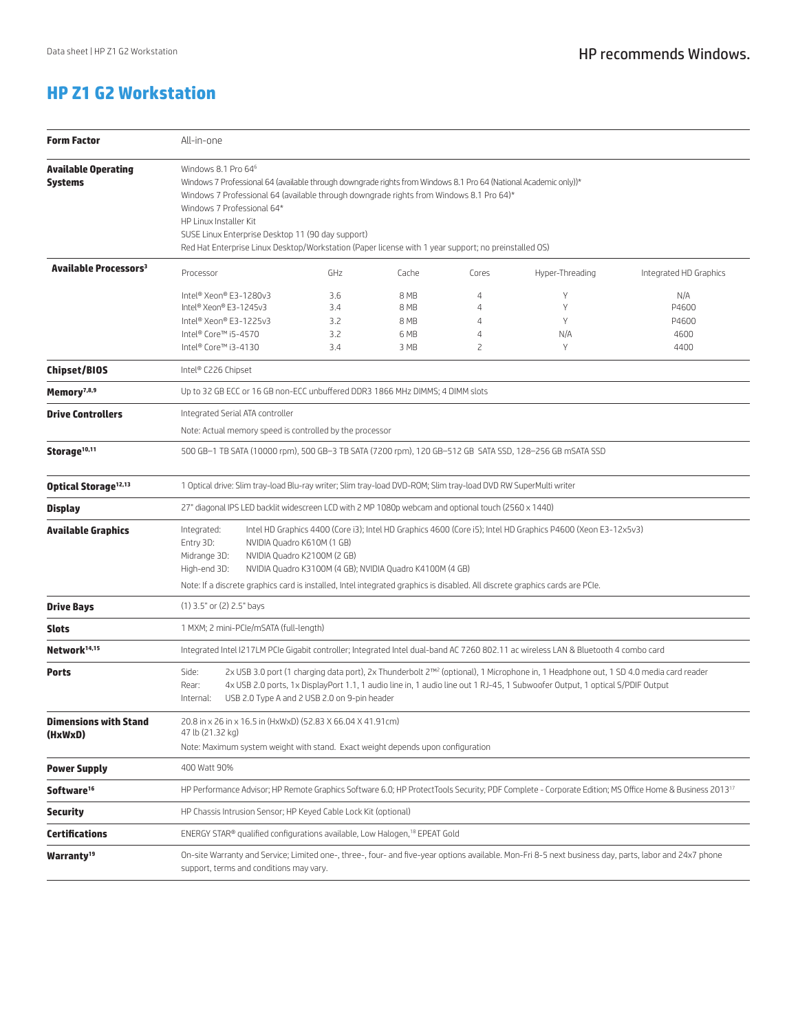#### **HP Z1 G2 Workstation**

| <b>Form Factor</b>                           | All-in-one                                                                                                                                                                                                                                                                                                                                                                                                                                                          |                                 |                                      |                              |                         |                                       |  |
|----------------------------------------------|---------------------------------------------------------------------------------------------------------------------------------------------------------------------------------------------------------------------------------------------------------------------------------------------------------------------------------------------------------------------------------------------------------------------------------------------------------------------|---------------------------------|--------------------------------------|------------------------------|-------------------------|---------------------------------------|--|
| <b>Available Operating</b><br><b>Systems</b> | Windows 8.1 Pro 64 <sup>6</sup><br>Windows 7 Professional 64 (available through downgrade rights from Windows 8.1 Pro 64 (National Academic only))*<br>Windows 7 Professional 64 (available through downgrade rights from Windows 8.1 Pro 64)*<br>Windows 7 Professional 64*<br>HP Linux Installer Kit<br>SUSE Linux Enterprise Desktop 11 (90 day support)<br>Red Hat Enterprise Linux Desktop/Workstation (Paper license with 1 year support; no preinstalled OS) |                                 |                                      |                              |                         |                                       |  |
| Available Processors <sup>3</sup>            | Processor                                                                                                                                                                                                                                                                                                                                                                                                                                                           | GHz                             | Cache                                | Cores                        | Hyper-Threading         | Integrated HD Graphics                |  |
|                                              | Intel® Xeon® E3-1280v3<br>Intel® Xeon® E3-1245v3<br>Intel® Xeon® E3-1225v3<br>Intel® Core™ i5-4570<br>Intel® Core™ i3-4130                                                                                                                                                                                                                                                                                                                                          | 3.6<br>3.4<br>3.2<br>3.2<br>3.4 | 8 MB<br>8 MB<br>8 MB<br>6 MB<br>3 MB | 4<br>4<br>4<br>$\Delta$<br>2 | Y<br>Υ<br>Y<br>N/A<br>Y | N/A<br>P4600<br>P4600<br>4600<br>4400 |  |
| <b>Chipset/BIOS</b>                          | Intel® C226 Chipset                                                                                                                                                                                                                                                                                                                                                                                                                                                 |                                 |                                      |                              |                         |                                       |  |
| Memory <sup>7,8,9</sup>                      | Up to 32 GB ECC or 16 GB non-ECC unbuffered DDR3 1866 MHz DIMMS; 4 DIMM slots                                                                                                                                                                                                                                                                                                                                                                                       |                                 |                                      |                              |                         |                                       |  |
| <b>Drive Controllers</b>                     | Integrated Serial ATA controller<br>Note: Actual memory speed is controlled by the processor                                                                                                                                                                                                                                                                                                                                                                        |                                 |                                      |                              |                         |                                       |  |
| Storage <sup>10,11</sup>                     | 500 GB-1 TB SATA (10000 rpm), 500 GB-3 TB SATA (7200 rpm), 120 GB-512 GB SATA SSD, 128-256 GB mSATA SSD                                                                                                                                                                                                                                                                                                                                                             |                                 |                                      |                              |                         |                                       |  |
| Optical Storage <sup>12,13</sup>             | 1 Optical drive: Slim tray-load Blu-ray writer; Slim tray-load DVD-ROM; Slim tray-load DVD RW SuperMulti writer                                                                                                                                                                                                                                                                                                                                                     |                                 |                                      |                              |                         |                                       |  |
| <b>Display</b>                               | 27" diagonal IPS LED backlit widescreen LCD with 2 MP 1080p webcam and optional touch (2560 x 1440)                                                                                                                                                                                                                                                                                                                                                                 |                                 |                                      |                              |                         |                                       |  |
| Available Graphics                           | Intel HD Graphics 4400 (Core i3); Intel HD Graphics 4600 (Core i5); Intel HD Graphics P4600 (Xeon E3-12x5v3)<br>Integrated:<br>Entry 3D:<br>NVIDIA Quadro K610M (1 GB)<br>Midrange 3D:<br>NVIDIA Quadro K2100M (2 GB)<br>High-end 3D:<br>NVIDIA Quadro K3100M (4 GB); NVIDIA Quadro K4100M (4 GB)<br>Note: If a discrete graphics card is installed, Intel integrated graphics is disabled. All discrete graphics cards are PCIe.                                   |                                 |                                      |                              |                         |                                       |  |
| <b>Drive Bays</b>                            | (1) 3.5" or (2) 2.5" bays                                                                                                                                                                                                                                                                                                                                                                                                                                           |                                 |                                      |                              |                         |                                       |  |
| <b>Slots</b>                                 | 1 MXM; 2 mini-PCIe/mSATA (full-length)                                                                                                                                                                                                                                                                                                                                                                                                                              |                                 |                                      |                              |                         |                                       |  |
| Network <sup>14,15</sup>                     | Integrated Intel I217LM PCIe Gigabit controller; Integrated Intel dual-band AC 7260 802.11 ac wireless LAN & Bluetooth 4 combo card                                                                                                                                                                                                                                                                                                                                 |                                 |                                      |                              |                         |                                       |  |
| Ports                                        | 2x USB 3.0 port (1 charging data port), 2x Thunderbolt 2™ <sup>2</sup> (optional), 1 Microphone in, 1 Headphone out, 1 SD 4.0 media card reader<br>Side:<br>4x USB 2.0 ports, 1x DisplayPort 1.1, 1 audio line in, 1 audio line out 1 RJ-45, 1 Subwoofer Output, 1 optical S/PDIF Output<br>Rear:<br>USB 2.0 Type A and 2 USB 2.0 on 9-pin header<br>Internal:                                                                                                      |                                 |                                      |                              |                         |                                       |  |
| <b>Dimensions with Stand</b><br>(HxWxD)      | 20.8 in x 26 in x 16.5 in (HxWxD) (52.83 X 66.04 X 41.91cm)<br>47 lb (21.32 kg)<br>Note: Maximum system weight with stand. Exact weight depends upon configuration                                                                                                                                                                                                                                                                                                  |                                 |                                      |                              |                         |                                       |  |
| <b>Power Supply</b>                          | 400 Watt 90%                                                                                                                                                                                                                                                                                                                                                                                                                                                        |                                 |                                      |                              |                         |                                       |  |
| Software <sup>16</sup>                       | HP Performance Advisor; HP Remote Graphics Software 6.0; HP ProtectTools Security; PDF Complete - Corporate Edition; MS Office Home & Business 2013 <sup>17</sup>                                                                                                                                                                                                                                                                                                   |                                 |                                      |                              |                         |                                       |  |
| <b>Security</b>                              | HP Chassis Intrusion Sensor; HP Keyed Cable Lock Kit (optional)                                                                                                                                                                                                                                                                                                                                                                                                     |                                 |                                      |                              |                         |                                       |  |
| <b>Certifications</b>                        | ENERGY STAR® qualified configurations available, Low Halogen, <sup>18</sup> EPEAT Gold                                                                                                                                                                                                                                                                                                                                                                              |                                 |                                      |                              |                         |                                       |  |
| Warranty <sup>19</sup>                       | On-site Warranty and Service; Limited one-, three-, four- and five-year options available. Mon-Fri 8-5 next business day, parts, labor and 24x7 phone<br>support, terms and conditions may vary.                                                                                                                                                                                                                                                                    |                                 |                                      |                              |                         |                                       |  |